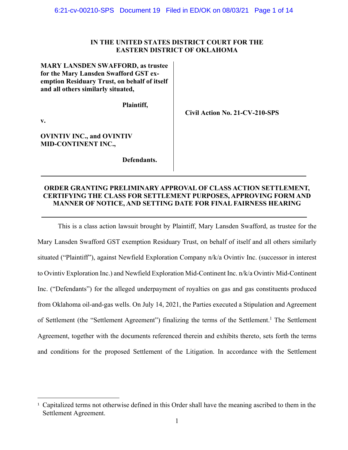# **IN THE UNITED STATES DISTRICT COURT FOR THE EASTERN DISTRICT OF OKLAHOMA**

 **Civil Action No. 21-CV-210-SPS** 

**MARY LANSDEN SWAFFORD, as trustee for the Mary Lansden Swafford GST exemption Residuary Trust, on behalf of itself and all others similarly situated,** 

 **Plaintiff,** 

**v.** 

**OVINTIV INC., and OVINTIV MID-CONTINENT INC.,** 

 **Defendants.** 

# **ORDER GRANTING PRELIMINARY APPROVAL OF CLASS ACTION SETTLEMENT, CERTIFYING THE CLASS FOR SETTLEMENT PURPOSES, APPROVING FORM AND MANNER OF NOTICE, AND SETTING DATE FOR FINAL FAIRNESS HEARING**

This is a class action lawsuit brought by Plaintiff, Mary Lansden Swafford, as trustee for the Mary Lansden Swafford GST exemption Residuary Trust, on behalf of itself and all others similarly situated ("Plaintiff"), against Newfield Exploration Company n/k/a Ovintiv Inc. (successor in interest to Ovintiv Exploration Inc.) and Newfield Exploration Mid-Continent Inc. n/k/a Ovintiv Mid-Continent Inc. ("Defendants") for the alleged underpayment of royalties on gas and gas constituents produced from Oklahoma oil-and-gas wells. On July 14, 2021, the Parties executed a Stipulation and Agreement of Settlement (the "Settlement Agreement") finalizing the terms of the Settlement.<sup>1</sup> The Settlement Agreement, together with the documents referenced therein and exhibits thereto, sets forth the terms and conditions for the proposed Settlement of the Litigation. In accordance with the Settlement

<sup>&</sup>lt;sup>1</sup> Capitalized terms not otherwise defined in this Order shall have the meaning ascribed to them in the Settlement Agreement.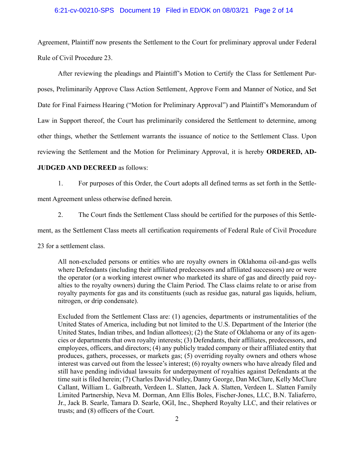# 6:21-cv-00210-SPS Document 19 Filed in ED/OK on 08/03/21 Page 2 of 14

Agreement, Plaintiff now presents the Settlement to the Court for preliminary approval under Federal Rule of Civil Procedure 23.

After reviewing the pleadings and Plaintiff's Motion to Certify the Class for Settlement Purposes, Preliminarily Approve Class Action Settlement, Approve Form and Manner of Notice, and Set Date for Final Fairness Hearing ("Motion for Preliminary Approval") and Plaintiff's Memorandum of Law in Support thereof, the Court has preliminarily considered the Settlement to determine, among other things, whether the Settlement warrants the issuance of notice to the Settlement Class. Upon reviewing the Settlement and the Motion for Preliminary Approval, it is hereby **ORDERED, AD-**

# **JUDGED AND DECREED** as follows:

1. For purposes of this Order, the Court adopts all defined terms as set forth in the Settle-

ment Agreement unless otherwise defined herein.

2. The Court finds the Settlement Class should be certified for the purposes of this Settle-

ment, as the Settlement Class meets all certification requirements of Federal Rule of Civil Procedure

23 for a settlement class.

All non-excluded persons or entities who are royalty owners in Oklahoma oil-and-gas wells where Defendants (including their affiliated predecessors and affiliated successors) are or were the operator (or a working interest owner who marketed its share of gas and directly paid royalties to the royalty owners) during the Claim Period. The Class claims relate to or arise from royalty payments for gas and its constituents (such as residue gas, natural gas liquids, helium, nitrogen, or drip condensate).

Excluded from the Settlement Class are: (1) agencies, departments or instrumentalities of the United States of America, including but not limited to the U.S. Department of the Interior (the United States, Indian tribes, and Indian allottees); (2) the State of Oklahoma or any of its agencies or departments that own royalty interests; (3) Defendants, their affiliates, predecessors, and employees, officers, and directors; (4) any publicly traded company or their affiliated entity that produces, gathers, processes, or markets gas; (5) overriding royalty owners and others whose interest was carved out from the lessee's interest; (6) royalty owners who have already filed and still have pending individual lawsuits for underpayment of royalties against Defendants at the time suit is filed herein; (7) Charles David Nutley, Danny George, Dan McClure, Kelly McClure Callant, William L. Galbreath, Verdeen L. Slatten, Jack A. Slatten, Verdeen L. Slatten Family Limited Partnership, Neva M. Dorman, Ann Ellis Boles, Fischer-Jones, LLC, B.N. Taliaferro, Jr., Jack B. Searle, Tamara D. Searle, OGI, Inc., Shepherd Royalty LLC, and their relatives or trusts; and (8) officers of the Court.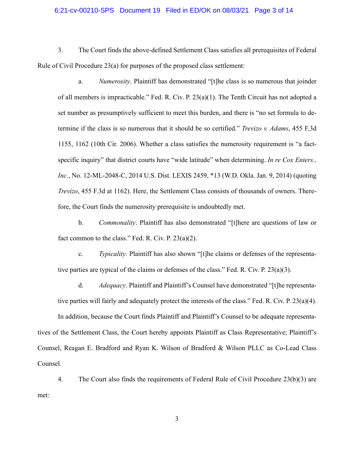# 6:21-cv-00210-SPS Document 19 Filed in ED/OK on 08/03/21 Page 3 of 14

3. The Court finds the above-defined Settlement Class satisfies all prerequisites of Federal Rule of Civil Procedure 23(a) for purposes of the proposed class settlement:

a. *Numerosity*. Plaintiff has demonstrated "[t]he class is so numerous that joinder of all members is impracticable." Fed. R. Civ. P. 23(a)(1). The Tenth Circuit has not adopted a set number as presumptively sufficient to meet this burden, and there is "no set formula to determine if the class is so numerous that it should be so certified." *Trevizo v. Adams*, 455 F.3d 1155, 1162 (10th Cir. 2006). Whether a class satisfies the numerosity requirement is "a factspecific inquiry" that district courts have "wide latitude" when determining. *In re Cox Enters., Inc.*, No. 12-ML-2048-C, 2014 U.S. Dist. LEXIS 2459, \*13 (W.D. Okla. Jan. 9, 2014) (quoting *Trevizo*, 455 F.3d at 1162). Here, the Settlement Class consists of thousands of owners. Therefore, the Court finds the numerosity prerequisite is undoubtedly met.

b. *Commonality*. Plaintiff has also demonstrated "[t]here are questions of law or fact common to the class." Fed. R. Civ. P. 23(a)(2).

c. *Typicality*. Plaintiff has also shown "[t]he claims or defenses of the representative parties are typical of the claims or defenses of the class." Fed. R. Civ. P. 23(a)(3).

d. *Adequacy*. Plaintiff and Plaintiff's Counsel have demonstrated "[t]he representative parties will fairly and adequately protect the interests of the class." Fed. R. Civ. P. 23(a)(4).

In addition, because the Court finds Plaintiff and Plaintiff's Counsel to be adequate representatives of the Settlement Class, the Court hereby appoints Plaintiff as Class Representative; Plaintiff's Counsel, Reagan E. Bradford and Ryan K. Wilson of Bradford & Wilson PLLC as Co-Lead Class Counsel.

4. The Court also finds the requirements of Federal Rule of Civil Procedure 23(b)(3) are met: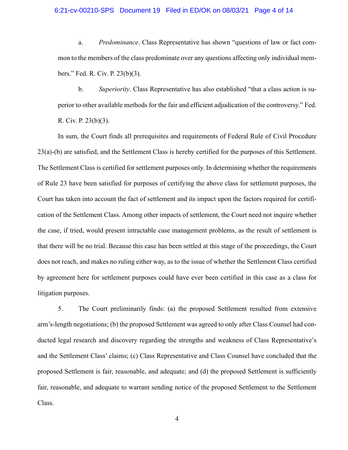# 6:21-cv-00210-SPS Document 19 Filed in ED/OK on 08/03/21 Page 4 of 14

a. *Predominance*. Class Representative has shown "questions of law or fact common to the members of the class predominate over any questions affecting only individual members." Fed. R. Civ. P. 23(b)(3).

b. *Superiority*. Class Representative has also established "that a class action is superior to other available methods for the fair and efficient adjudication of the controversy." Fed. R. Civ. P. 23(b)(3).

In sum, the Court finds all prerequisites and requirements of Federal Rule of Civil Procedure 23(a)-(b) are satisfied, and the Settlement Class is hereby certified for the purposes of this Settlement. The Settlement Class is certified for settlement purposes only. In determining whether the requirements of Rule 23 have been satisfied for purposes of certifying the above class for settlement purposes, the Court has taken into account the fact of settlement and its impact upon the factors required for certification of the Settlement Class. Among other impacts of settlement, the Court need not inquire whether the case, if tried, would present intractable case management problems, as the result of settlement is that there will be no trial. Because this case has been settled at this stage of the proceedings, the Court does not reach, and makes no ruling either way, as to the issue of whether the Settlement Class certified by agreement here for settlement purposes could have ever been certified in this case as a class for litigation purposes.

5. The Court preliminarily finds: (a) the proposed Settlement resulted from extensive arm's-length negotiations; (b) the proposed Settlement was agreed to only after Class Counsel had conducted legal research and discovery regarding the strengths and weakness of Class Representative's and the Settlement Class' claims; (c) Class Representative and Class Counsel have concluded that the proposed Settlement is fair, reasonable, and adequate; and (d) the proposed Settlement is sufficiently fair, reasonable, and adequate to warrant sending notice of the proposed Settlement to the Settlement Class.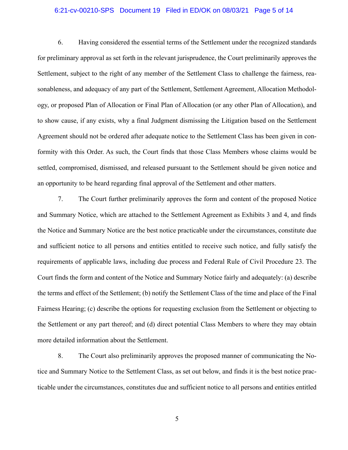# 6:21-cv-00210-SPS Document 19 Filed in ED/OK on 08/03/21 Page 5 of 14

6. Having considered the essential terms of the Settlement under the recognized standards for preliminary approval as set forth in the relevant jurisprudence, the Court preliminarily approves the Settlement, subject to the right of any member of the Settlement Class to challenge the fairness, reasonableness, and adequacy of any part of the Settlement, Settlement Agreement, Allocation Methodology, or proposed Plan of Allocation or Final Plan of Allocation (or any other Plan of Allocation), and to show cause, if any exists, why a final Judgment dismissing the Litigation based on the Settlement Agreement should not be ordered after adequate notice to the Settlement Class has been given in conformity with this Order. As such, the Court finds that those Class Members whose claims would be settled, compromised, dismissed, and released pursuant to the Settlement should be given notice and an opportunity to be heard regarding final approval of the Settlement and other matters.

7. The Court further preliminarily approves the form and content of the proposed Notice and Summary Notice, which are attached to the Settlement Agreement as Exhibits 3 and 4, and finds the Notice and Summary Notice are the best notice practicable under the circumstances, constitute due and sufficient notice to all persons and entities entitled to receive such notice, and fully satisfy the requirements of applicable laws, including due process and Federal Rule of Civil Procedure 23. The Court finds the form and content of the Notice and Summary Notice fairly and adequately: (a) describe the terms and effect of the Settlement; (b) notify the Settlement Class of the time and place of the Final Fairness Hearing; (c) describe the options for requesting exclusion from the Settlement or objecting to the Settlement or any part thereof; and (d) direct potential Class Members to where they may obtain more detailed information about the Settlement.

8. The Court also preliminarily approves the proposed manner of communicating the Notice and Summary Notice to the Settlement Class, as set out below, and finds it is the best notice practicable under the circumstances, constitutes due and sufficient notice to all persons and entities entitled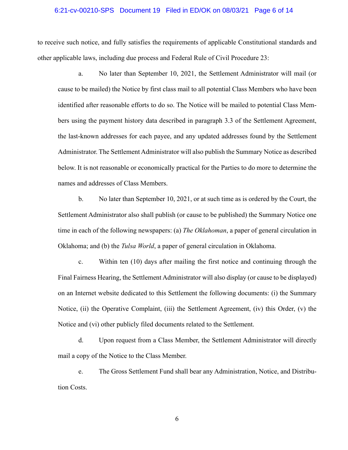#### 6:21-cv-00210-SPS Document 19 Filed in ED/OK on 08/03/21 Page 6 of 14

to receive such notice, and fully satisfies the requirements of applicable Constitutional standards and other applicable laws, including due process and Federal Rule of Civil Procedure 23:

a. No later than September 10, 2021, the Settlement Administrator will mail (or cause to be mailed) the Notice by first class mail to all potential Class Members who have been identified after reasonable efforts to do so. The Notice will be mailed to potential Class Members using the payment history data described in paragraph 3.3 of the Settlement Agreement, the last-known addresses for each payee, and any updated addresses found by the Settlement Administrator. The Settlement Administrator will also publish the Summary Notice as described below. It is not reasonable or economically practical for the Parties to do more to determine the names and addresses of Class Members.

b. No later than September 10, 2021, or at such time as is ordered by the Court, the Settlement Administrator also shall publish (or cause to be published) the Summary Notice one time in each of the following newspapers: (a) *The Oklahoman*, a paper of general circulation in Oklahoma; and (b) the *Tulsa World*, a paper of general circulation in Oklahoma.

c. Within ten (10) days after mailing the first notice and continuing through the Final Fairness Hearing, the Settlement Administrator will also display (or cause to be displayed) on an Internet website dedicated to this Settlement the following documents: (i) the Summary Notice, (ii) the Operative Complaint, (iii) the Settlement Agreement, (iv) this Order, (v) the Notice and (vi) other publicly filed documents related to the Settlement.

d. Upon request from a Class Member, the Settlement Administrator will directly mail a copy of the Notice to the Class Member.

e. The Gross Settlement Fund shall bear any Administration, Notice, and Distribution Costs.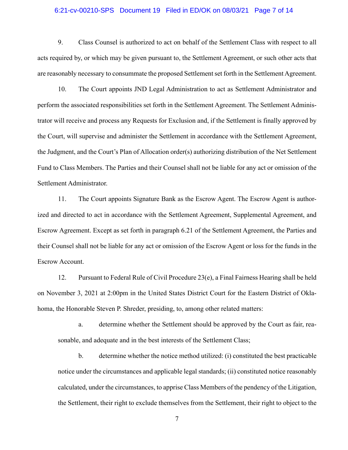## 6:21-cv-00210-SPS Document 19 Filed in ED/OK on 08/03/21 Page 7 of 14

9. Class Counsel is authorized to act on behalf of the Settlement Class with respect to all acts required by, or which may be given pursuant to, the Settlement Agreement, or such other acts that are reasonably necessary to consummate the proposed Settlement set forth in the Settlement Agreement.

10. The Court appoints JND Legal Administration to act as Settlement Administrator and perform the associated responsibilities set forth in the Settlement Agreement. The Settlement Administrator will receive and process any Requests for Exclusion and, if the Settlement is finally approved by the Court, will supervise and administer the Settlement in accordance with the Settlement Agreement, the Judgment, and the Court's Plan of Allocation order(s) authorizing distribution of the Net Settlement Fund to Class Members. The Parties and their Counsel shall not be liable for any act or omission of the Settlement Administrator.

11. The Court appoints Signature Bank as the Escrow Agent. The Escrow Agent is authorized and directed to act in accordance with the Settlement Agreement, Supplemental Agreement, and Escrow Agreement. Except as set forth in paragraph 6.21 of the Settlement Agreement, the Parties and their Counsel shall not be liable for any act or omission of the Escrow Agent or loss for the funds in the Escrow Account.

12. Pursuant to Federal Rule of Civil Procedure 23(e), a Final Fairness Hearing shall be held on November 3, 2021 at 2:00pm in the United States District Court for the Eastern District of Oklahoma, the Honorable Steven P. Shreder, presiding, to, among other related matters:

a. determine whether the Settlement should be approved by the Court as fair, reasonable, and adequate and in the best interests of the Settlement Class;

b. determine whether the notice method utilized: (i) constituted the best practicable notice under the circumstances and applicable legal standards; (ii) constituted notice reasonably calculated, under the circumstances, to apprise Class Members of the pendency of the Litigation, the Settlement, their right to exclude themselves from the Settlement, their right to object to the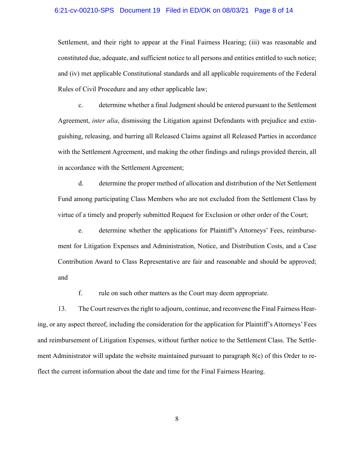#### 6:21-cv-00210-SPS Document 19 Filed in ED/OK on 08/03/21 Page 8 of 14

Settlement, and their right to appear at the Final Fairness Hearing; (iii) was reasonable and constituted due, adequate, and sufficient notice to all persons and entities entitled to such notice; and (iv) met applicable Constitutional standards and all applicable requirements of the Federal Rules of Civil Procedure and any other applicable law;

c. determine whether a final Judgment should be entered pursuant to the Settlement Agreement, *inter alia*, dismissing the Litigation against Defendants with prejudice and extinguishing, releasing, and barring all Released Claims against all Released Parties in accordance with the Settlement Agreement, and making the other findings and rulings provided therein, all in accordance with the Settlement Agreement;

d. determine the proper method of allocation and distribution of the Net Settlement Fund among participating Class Members who are not excluded from the Settlement Class by virtue of a timely and properly submitted Request for Exclusion or other order of the Court;

e. determine whether the applications for Plaintiff's Attorneys' Fees, reimbursement for Litigation Expenses and Administration, Notice, and Distribution Costs, and a Case Contribution Award to Class Representative are fair and reasonable and should be approved; and

f. rule on such other matters as the Court may deem appropriate.

13. The Court reserves the right to adjourn, continue, and reconvene the Final Fairness Hearing, or any aspect thereof, including the consideration for the application for Plaintiff's Attorneys' Fees and reimbursement of Litigation Expenses, without further notice to the Settlement Class. The Settlement Administrator will update the website maintained pursuant to paragraph 8(c) of this Order to reflect the current information about the date and time for the Final Fairness Hearing.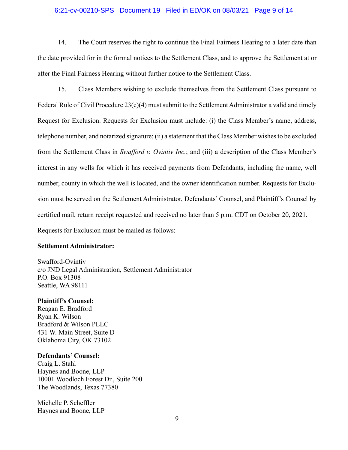# 6:21-cv-00210-SPS Document 19 Filed in ED/OK on 08/03/21 Page 9 of 14

14. The Court reserves the right to continue the Final Fairness Hearing to a later date than the date provided for in the formal notices to the Settlement Class, and to approve the Settlement at or after the Final Fairness Hearing without further notice to the Settlement Class.

15. Class Members wishing to exclude themselves from the Settlement Class pursuant to Federal Rule of Civil Procedure  $23(e)(4)$  must submit to the Settlement Administrator a valid and timely Request for Exclusion. Requests for Exclusion must include: (i) the Class Member's name, address, telephone number, and notarized signature; (ii) a statement that the Class Member wishes to be excluded from the Settlement Class in *Swafford v. Ovintiv Inc.*; and (iii) a description of the Class Member's interest in any wells for which it has received payments from Defendants, including the name, well number, county in which the well is located, and the owner identification number. Requests for Exclusion must be served on the Settlement Administrator, Defendants' Counsel, and Plaintiff's Counsel by certified mail, return receipt requested and received no later than 5 p.m. CDT on October 20, 2021. Requests for Exclusion must be mailed as follows:

# **Settlement Administrator:**

Swafford-Ovintiv c/o JND Legal Administration, Settlement Administrator P.O. Box 91308 Seattle, WA 98111

#### **Plaintiff's Counsel:**

Reagan E. Bradford Ryan K. Wilson Bradford & Wilson PLLC 431 W. Main Street, Suite D Oklahoma City, OK 73102

# **Defendants' Counsel:**

Craig L. Stahl Haynes and Boone, LLP 10001 Woodloch Forest Dr., Suite 200 The Woodlands, Texas 77380

Michelle P. Scheffler Haynes and Boone, LLP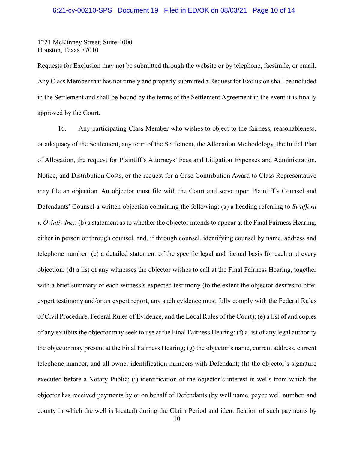# 6:21-cv-00210-SPS Document 19 Filed in ED/OK on 08/03/21 Page 10 of 14

1221 McKinney Street, Suite 4000 Houston, Texas 77010

Requests for Exclusion may not be submitted through the website or by telephone, facsimile, or email. Any Class Member that has not timely and properly submitted a Request for Exclusion shall be included in the Settlement and shall be bound by the terms of the Settlement Agreement in the event it is finally approved by the Court.

16. Any participating Class Member who wishes to object to the fairness, reasonableness, or adequacy of the Settlement, any term of the Settlement, the Allocation Methodology, the Initial Plan of Allocation, the request for Plaintiff's Attorneys' Fees and Litigation Expenses and Administration, Notice, and Distribution Costs, or the request for a Case Contribution Award to Class Representative may file an objection. An objector must file with the Court and serve upon Plaintiff's Counsel and Defendants' Counsel a written objection containing the following: (a) a heading referring to *Swafford v. Ovintiv Inc.*; (b) a statement as to whether the objector intends to appear at the Final Fairness Hearing, either in person or through counsel, and, if through counsel, identifying counsel by name, address and telephone number; (c) a detailed statement of the specific legal and factual basis for each and every objection; (d) a list of any witnesses the objector wishes to call at the Final Fairness Hearing, together with a brief summary of each witness's expected testimony (to the extent the objector desires to offer expert testimony and/or an expert report, any such evidence must fully comply with the Federal Rules of Civil Procedure, Federal Rules of Evidence, and the Local Rules of the Court); (e) a list of and copies of any exhibits the objector may seek to use at the Final Fairness Hearing; (f) a list of any legal authority the objector may present at the Final Fairness Hearing; (g) the objector's name, current address, current telephone number, and all owner identification numbers with Defendant; (h) the objector's signature executed before a Notary Public; (i) identification of the objector's interest in wells from which the objector has received payments by or on behalf of Defendants (by well name, payee well number, and county in which the well is located) during the Claim Period and identification of such payments by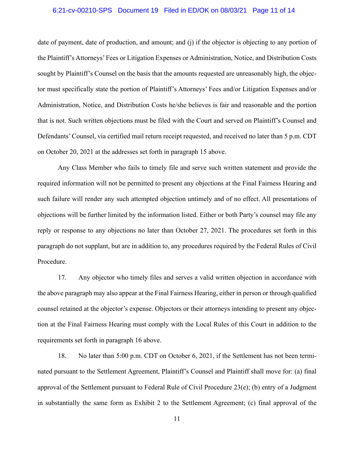# 6:21-cv-00210-SPS Document 19 Filed in ED/OK on 08/03/21 Page 11 of 14

date of payment, date of production, and amount; and (j) if the objector is objecting to any portion of the Plaintiff's Attorneys' Fees or Litigation Expenses or Administration, Notice, and Distribution Costs sought by Plaintiff's Counsel on the basis that the amounts requested are unreasonably high, the objector must specifically state the portion of Plaintiff's Attorneys' Fees and/or Litigation Expenses and/or Administration, Notice, and Distribution Costs he/she believes is fair and reasonable and the portion that is not. Such written objections must be filed with the Court and served on Plaintiff's Counsel and Defendants' Counsel, via certified mail return receipt requested, and received no later than 5 p.m. CDT on October 20, 2021 at the addresses set forth in paragraph 15 above.

Any Class Member who fails to timely file and serve such written statement and provide the required information will not be permitted to present any objections at the Final Fairness Hearing and such failure will render any such attempted objection untimely and of no effect. All presentations of objections will be further limited by the information listed. Either or both Party's counsel may file any reply or response to any objections no later than October 27, 2021. The procedures set forth in this paragraph do not supplant, but are in addition to, any procedures required by the Federal Rules of Civil Procedure.

17. Any objector who timely files and serves a valid written objection in accordance with the above paragraph may also appear at the Final Fairness Hearing, either in person or through qualified counsel retained at the objector's expense. Objectors or their attorneys intending to present any objection at the Final Fairness Hearing must comply with the Local Rules of this Court in addition to the requirements set forth in paragraph 16 above.

18. No later than 5:00 p.m. CDT on October 6, 2021, if the Settlement has not been terminated pursuant to the Settlement Agreement, Plaintiff's Counsel and Plaintiff shall move for: (a) final approval of the Settlement pursuant to Federal Rule of Civil Procedure 23(e); (b) entry of a Judgment in substantially the same form as Exhibit 2 to the Settlement Agreement; (c) final approval of the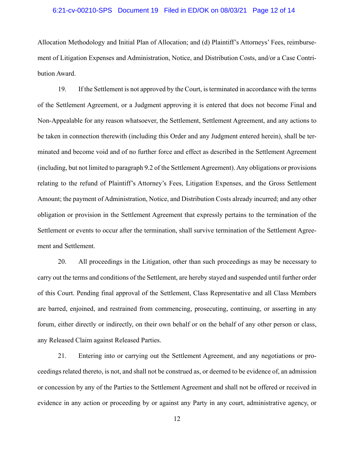# 6:21-cv-00210-SPS Document 19 Filed in ED/OK on 08/03/21 Page 12 of 14

Allocation Methodology and Initial Plan of Allocation; and (d) Plaintiff's Attorneys' Fees, reimbursement of Litigation Expenses and Administration, Notice, and Distribution Costs, and/or a Case Contribution Award.

19. If the Settlement is not approved by the Court, is terminated in accordance with the terms of the Settlement Agreement, or a Judgment approving it is entered that does not become Final and Non-Appealable for any reason whatsoever, the Settlement, Settlement Agreement, and any actions to be taken in connection therewith (including this Order and any Judgment entered herein), shall be terminated and become void and of no further force and effect as described in the Settlement Agreement (including, but not limited to paragraph 9.2 of the Settlement Agreement). Any obligations or provisions relating to the refund of Plaintiff's Attorney's Fees, Litigation Expenses, and the Gross Settlement Amount; the payment of Administration, Notice, and Distribution Costs already incurred; and any other obligation or provision in the Settlement Agreement that expressly pertains to the termination of the Settlement or events to occur after the termination, shall survive termination of the Settlement Agreement and Settlement.

20. All proceedings in the Litigation, other than such proceedings as may be necessary to carry out the terms and conditions of the Settlement, are hereby stayed and suspended until further order of this Court. Pending final approval of the Settlement, Class Representative and all Class Members are barred, enjoined, and restrained from commencing, prosecuting, continuing, or asserting in any forum, either directly or indirectly, on their own behalf or on the behalf of any other person or class, any Released Claim against Released Parties.

21. Entering into or carrying out the Settlement Agreement, and any negotiations or proceedings related thereto, is not, and shall not be construed as, or deemed to be evidence of, an admission or concession by any of the Parties to the Settlement Agreement and shall not be offered or received in evidence in any action or proceeding by or against any Party in any court, administrative agency, or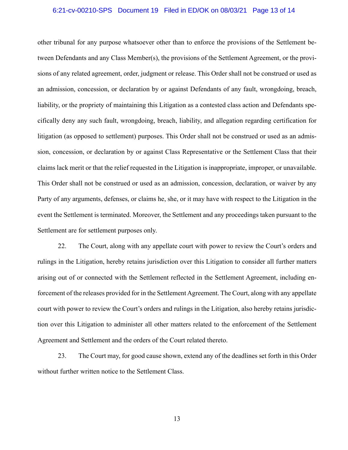## 6:21-cv-00210-SPS Document 19 Filed in ED/OK on 08/03/21 Page 13 of 14

other tribunal for any purpose whatsoever other than to enforce the provisions of the Settlement between Defendants and any Class Member(s), the provisions of the Settlement Agreement, or the provisions of any related agreement, order, judgment or release. This Order shall not be construed or used as an admission, concession, or declaration by or against Defendants of any fault, wrongdoing, breach, liability, or the propriety of maintaining this Litigation as a contested class action and Defendants specifically deny any such fault, wrongdoing, breach, liability, and allegation regarding certification for litigation (as opposed to settlement) purposes. This Order shall not be construed or used as an admission, concession, or declaration by or against Class Representative or the Settlement Class that their claims lack merit or that the relief requested in the Litigation is inappropriate, improper, or unavailable. This Order shall not be construed or used as an admission, concession, declaration, or waiver by any Party of any arguments, defenses, or claims he, she, or it may have with respect to the Litigation in the event the Settlement is terminated. Moreover, the Settlement and any proceedings taken pursuant to the Settlement are for settlement purposes only.

22. The Court, along with any appellate court with power to review the Court's orders and rulings in the Litigation, hereby retains jurisdiction over this Litigation to consider all further matters arising out of or connected with the Settlement reflected in the Settlement Agreement, including enforcement of the releases provided for in the Settlement Agreement. The Court, along with any appellate court with power to review the Court's orders and rulings in the Litigation, also hereby retains jurisdiction over this Litigation to administer all other matters related to the enforcement of the Settlement Agreement and Settlement and the orders of the Court related thereto.

23. The Court may, for good cause shown, extend any of the deadlines set forth in this Order without further written notice to the Settlement Class.